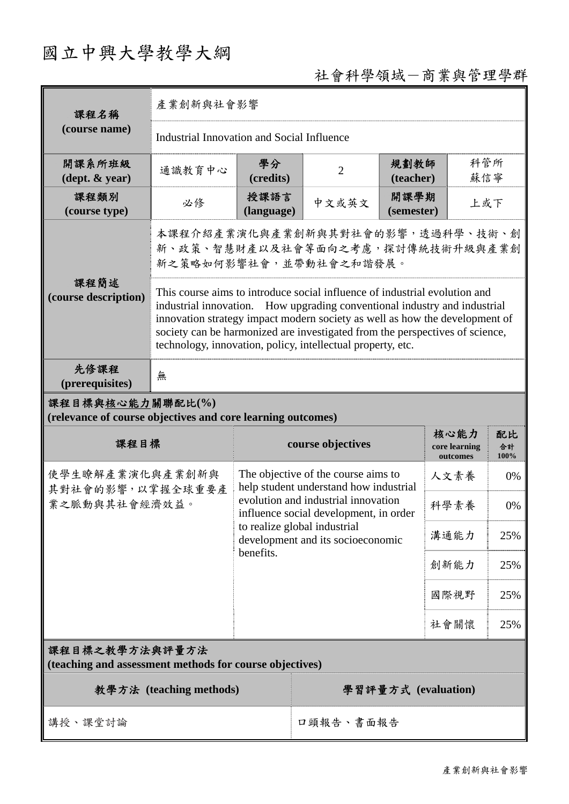# 國立中興大學教學大綱

# 社會科學領域-商業與管理學群

| 課程名稱<br>(course name)                                                           | 產業創新與社會影響                                                                                                                                                                                                                                                                                                                                                                             |                                                                                                                                                                                                                                                  |                     |                                 |                                   |                  |
|---------------------------------------------------------------------------------|---------------------------------------------------------------------------------------------------------------------------------------------------------------------------------------------------------------------------------------------------------------------------------------------------------------------------------------------------------------------------------------|--------------------------------------------------------------------------------------------------------------------------------------------------------------------------------------------------------------------------------------------------|---------------------|---------------------------------|-----------------------------------|------------------|
|                                                                                 | <b>Industrial Innovation and Social Influence</b>                                                                                                                                                                                                                                                                                                                                     |                                                                                                                                                                                                                                                  |                     |                                 |                                   |                  |
| 開課系所班級<br>$(\text{dept.} \& \text{ year})$                                      | 通識教育中心                                                                                                                                                                                                                                                                                                                                                                                | 學分<br>(credits)                                                                                                                                                                                                                                  | $\overline{2}$      | 科管所<br>規劃教師<br>蘇信寧<br>(teacher) |                                   |                  |
| 課程類別<br>(course type)                                                           | 必修                                                                                                                                                                                                                                                                                                                                                                                    | 授課語言<br>(language)                                                                                                                                                                                                                               | 中文或英文               | 開課學期<br>上或下<br>(semester)       |                                   |                  |
| 課程簡述<br>(course description)                                                    | 本課程介紹產業演化與產業創新與其對社會的影響,透過科學、技術、創<br>新、政策、智慧財產以及社會等面向之考慮,探討傳統技術升級與產業創<br>新之策略如何影響社會,並帶動社會之和諧發展。                                                                                                                                                                                                                                                                                        |                                                                                                                                                                                                                                                  |                     |                                 |                                   |                  |
|                                                                                 | This course aims to introduce social influence of industrial evolution and<br>industrial innovation. How upgrading conventional industry and industrial<br>innovation strategy impact modern society as well as how the development of<br>society can be harmonized are investigated from the perspectives of science,<br>technology, innovation, policy, intellectual property, etc. |                                                                                                                                                                                                                                                  |                     |                                 |                                   |                  |
| 先修課程<br>(prerequisites)                                                         | 無                                                                                                                                                                                                                                                                                                                                                                                     |                                                                                                                                                                                                                                                  |                     |                                 |                                   |                  |
| 課程目標與核心能力關聯配比(%)<br>(relevance of course objectives and core learning outcomes) |                                                                                                                                                                                                                                                                                                                                                                                       |                                                                                                                                                                                                                                                  |                     |                                 |                                   |                  |
| 課程目標                                                                            |                                                                                                                                                                                                                                                                                                                                                                                       |                                                                                                                                                                                                                                                  | course objectives   |                                 | 核心能力<br>core learning<br>outcomes | 配比<br>合計<br>100% |
| 使學生瞭解產業演化與產業創新與<br>其對社會的影響,以掌握全球重要產<br>業之脈動與其社會經濟效益。                            |                                                                                                                                                                                                                                                                                                                                                                                       | The objective of the course aims to<br>help student understand how industrial<br>evolution and industrial innovation<br>influence social development, in order<br>to realize global industrial<br>development and its socioeconomic<br>benefits. |                     |                                 | 人文素養                              | 0%               |
|                                                                                 |                                                                                                                                                                                                                                                                                                                                                                                       |                                                                                                                                                                                                                                                  |                     |                                 | 科學素養                              | 0%               |
|                                                                                 |                                                                                                                                                                                                                                                                                                                                                                                       |                                                                                                                                                                                                                                                  |                     |                                 | 溝通能力                              | 25%              |
|                                                                                 |                                                                                                                                                                                                                                                                                                                                                                                       |                                                                                                                                                                                                                                                  |                     |                                 | 創新能力                              | 25%              |
|                                                                                 |                                                                                                                                                                                                                                                                                                                                                                                       |                                                                                                                                                                                                                                                  |                     |                                 | 國際視野                              | 25%              |
|                                                                                 |                                                                                                                                                                                                                                                                                                                                                                                       |                                                                                                                                                                                                                                                  |                     |                                 | 社會關懷                              | 25%              |
| 課程目標之教學方法與評量方法<br>(teaching and assessment methods for course objectives)       |                                                                                                                                                                                                                                                                                                                                                                                       |                                                                                                                                                                                                                                                  |                     |                                 |                                   |                  |
| 教學方法 (teaching methods)                                                         |                                                                                                                                                                                                                                                                                                                                                                                       |                                                                                                                                                                                                                                                  | 學習評量方式 (evaluation) |                                 |                                   |                  |
| 講授、課堂討論                                                                         |                                                                                                                                                                                                                                                                                                                                                                                       |                                                                                                                                                                                                                                                  | 口頭報告、書面報告           |                                 |                                   |                  |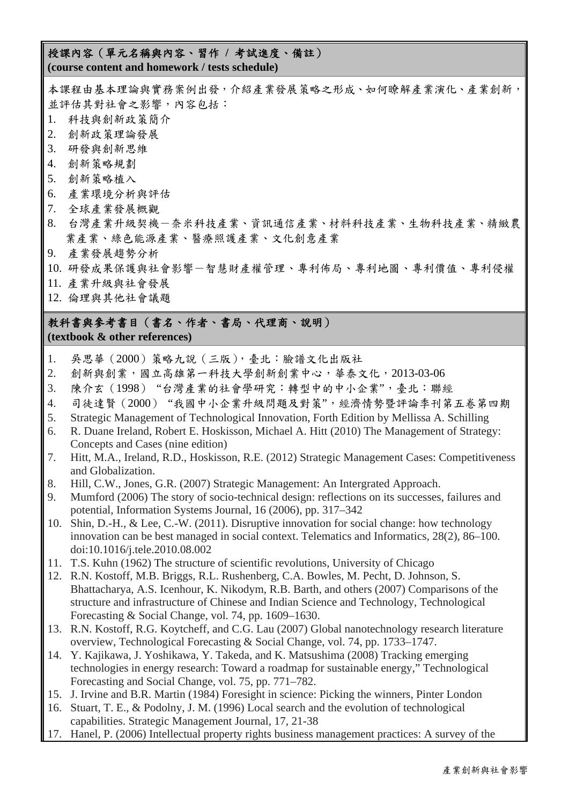#### 授課內容(單元名稱與內容、習作 **/** 考試進度、備註) **(course content and homework / tests schedule)**

本課程由基本理論與實務案例出發,介紹產業發展策略之形成、如何瞭解產業演化、產業創新, 並評估其對社會之影響,內容包括:

- 1. 科技與創新政策簡介
- 2. 創新政策理論發展
- 3. 研發與創新思維
- 4. 創新策略規劃
- 5. 創新策略植入
- 6. 產業環境分析與評估
- 7. 全球產業發展概觀
- 8. 台灣產業升級契機-奈米科技產業、資訊通信產業、材料科技產業、生物科技產業、精緻農 業產業、綠色能源產業、醫療照護產業、文化創意產業
- 9. 產業發展趨勢分析
- 10. 研發成果保護與社會影響-智慧財產權管理、專利佈局、專利地圖、專利價值、專利侵權
- 11. 產業升級與社會發展
- 12. 倫理與其他社會議題

## 教科書與參考書目(書名、作者、書局、代理商、說明) **(textbook & other references)**

- 1. 吳思華(2000)策略九說(三版),臺北:臉譜文化出版社
- 2. 創新與創業,國立高雄第一科技大學創新創業中心,華泰文化,2013-03-06
- 3. 陳介玄(1998) "台灣產業的社會學研究:轉型中的中小企業",臺北:聯經
- 4. 司徒達賢(2000) "我國中小企業升級問題及對策",經濟情勢暨評論季刊第五卷第四期
- 5. Strategic Management of Technological Innovation, Forth Edition by Mellissa A. Schilling
- 6. R. Duane Ireland, Robert E. Hoskisson, Michael A. Hitt (2010) The Management of Strategy: Concepts and Cases (nine edition)
- 7. Hitt, M.A., Ireland, R.D., Hoskisson, R.E. (2012) Strategic Management Cases: Competitiveness and Globalization.
- 8. Hill, C.W., Jones, G.R. (2007) Strategic Management: An Intergrated Approach.
- 9. Mumford (2006) The story of socio-technical design: reflections on its successes, failures and potential, Information Systems Journal, 16 (2006), pp. 317–342
- 10. Shin, D.-H., & Lee, C.-W. (2011). Disruptive innovation for social change: how technology innovation can be best managed in social context. Telematics and Informatics, 28(2), 86–100. doi:10.1016/j.tele.2010.08.002
- 11. T.S. Kuhn (1962) The structure of scientific revolutions, University of Chicago
- 12. R.N. Kostoff, M.B. Briggs, R.L. Rushenberg, C.A. Bowles, M. Pecht, D. Johnson, S. Bhattacharya, A.S. Icenhour, K. Nikodym, R.B. Barth, and others (2007) Comparisons of the structure and infrastructure of Chinese and Indian Science and Technology, Technological Forecasting & Social Change, vol. 74, pp. 1609–1630.
- 13. R.N. Kostoff, R.G. Koytcheff, and C.G. Lau (2007) Global nanotechnology research literature overview, Technological Forecasting & Social Change, vol. 74, pp. 1733–1747.
- 14. Y. Kajikawa, J. Yoshikawa, Y. Takeda, and K. Matsushima (2008) Tracking emerging technologies in energy research: Toward a roadmap for sustainable energy," Technological Forecasting and Social Change, vol. 75, pp. 771–782.
- 15. J. Irvine and B.R. Martin (1984) Foresight in science: Picking the winners, Pinter London
- 16. Stuart, T. E., & Podolny, J. M. (1996) Local search and the evolution of technological capabilities. Strategic Management Journal, 17, 21-38
- 17. Hanel, P. (2006) Intellectual property rights business management practices: A survey of the